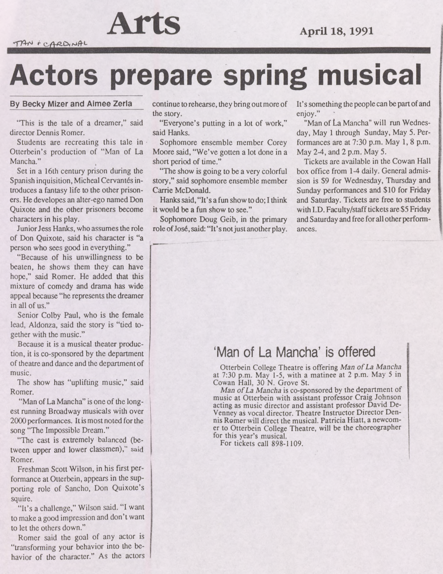**Arts April 18,1991**

## **Actors prepare spring musical**

**By Becky Mizer and Almee Zerla**

'This is the tale of a dreamer," said director Dennis Romer.

Students are recreating this tale in Otterbein's production of "Man of La Mancha."

Set in a 16th century prison during the Spanish inquisition, Micheal Cervantés introduces a fantasy life to the other prisoners. He developes an alter-ego named Don Quixote and the other prisoners become characters in his play.

Junior Jess Hanks, who assumes the role of Don Quixote, said his character is "a person who sees good in everything."

"Because of his unwillingness to be beaten, he shows them they can have hope," said Romer. He added that this mixture of comedy and drama has wide appeal because "he represents the dreamer in all of us."

Senior Colby Paul, who is the female lead, Aldonza, said the story is "tied together with the music."

Because it is a musical theater production, it is co-sponsored by the department of theatre and dance and the department of music.

The show has "uplifting music," said Romer.

"Man of La Mancha" is one of the longest running Broadway musicals with over 2000 performances. It is most noted for the song "The Impossible Dream."

"The cast is extremely balanced (between upper and lower classmen)," said Romer.

Freshman Scott Wilson, in his first performance at Otlerbein, appears in the supporting role of Sancho, Don Quixote's squire.

"It's a challenge," Wilson said. "I want to make a good impression and don't want to let the others down."

Romer said the goal of any actor is "transforming your behavior into the behavior of the character." As the actors continue to rehearse, they bring outmore of the story.

"Everyone's putting in a lot of work," said Hanks.

Sophomore ensemble member Corey Moore said, "We've gotten a lot done in a short period of time."

"The show is going to be a very colorful story," said sophomore ensemble member Carrie McDonald.

Hanks said, "It's a fun show to do; I think it would be a fun show to see."

Sophomore Doug Geib, in the primary role of José, said: "It's not just another play. It's something the people can be partofand enjoy."

"Man of La Mancha" will run Wednesday, May <sup>1</sup> through Sunday, May 5. Performances are at 7:30 p.m. May 1, 8 p.m. May 2-4, and 2 p.m. May 5.

Tickets are available in the Cowan Hall box office from 1-4 daily. General admission is S9 for Wednesday, Thursday and Sunday performances and \$10 for Friday and Saturday. Tickets are free to students with I.D. Faculty/staff tickets are \$5 Friday and Saturday and free for all other performances.

## 'Man of La Mancha' is offered

Otterbein College Theatre is offering *Man ofLa Mancha* at 7:30 p.m. May 1-5, with a matinee at 2 p.m. May 5 in Cowan Hall, 30 N. Grove St.

*Man ofLa Mancha* is co-sponsored by the department of music at Otterbein with assistant professor Craig Johnson acting as music director and assistant professor David De-Venney as vocal director. Theatre Instructor Director Dennis Romer will direct the musical. Patricia Hiatt, a newcomer to Otterbein College Theatre, will be the choreographer for this year's musical.

For tickets call 898-1109.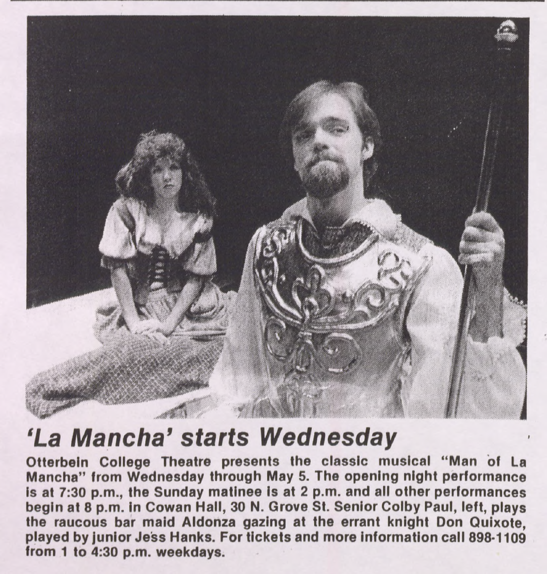

## **'La** *Mancha' starts Wednesday*

**Otterbein College Theatre presents the classic musical "Man of La Mancha" from Wednesday through May 5. The opening night performance Is at 7:30 p.m., the Sunday matinee is at 2 p.m. and all other performances begin at 8 p.m. in Cowan Hall, 30 N. Grove St. Senior Colby Paul, left, plays the raucous bar maid Aldonza gazing at the errant knight Don Quixote, played by junior Jess Hanks. For tickets and more information call 898-1109 from <sup>1</sup> to 4:30 p.m. weekdays.**